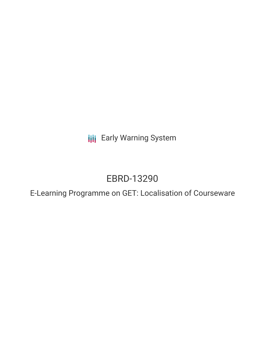**III** Early Warning System

# EBRD-13290

E-Learning Programme on GET: Localisation of Courseware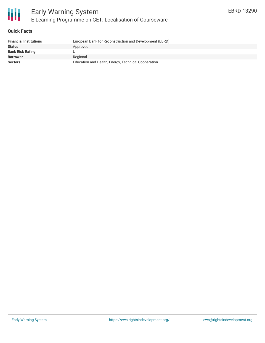

#### **Quick Facts**

| <b>Financial Institutions</b> | European Bank for Reconstruction and Development (EBRD) |
|-------------------------------|---------------------------------------------------------|
| Status                        | Approved                                                |
| Bank Risk Rating              |                                                         |
| <b>Borrower</b>               | Regional                                                |
| Sectors                       | Education and Health, Energy, Technical Cooperation     |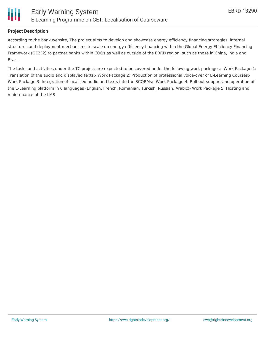

#### **Project Description**

According to the bank website, The project aims to develop and showcase energy efficiency financing strategies, internal structures and deployment mechanisms to scale up energy efficiency financing within the Global Energy Efficiency Financing Framework (GE2F2) to partner banks within COOs as well as outside of the EBRD region, such as those in China, India and Brazil.

The tasks and activities under the TC project are expected to be covered under the following work packages:- Work Package 1: Translation of the audio and displayed texts;- Work Package 2: Production of professional voice-over of E-Learning Courses;- Work Package 3: Integration of localised audio and texts into the SCORMs;- Work Package 4: Roll-out support and operation of the E-Learning platform in 6 languages (English, French, Romanian, Turkish, Russian, Arabic)- Work Package 5: Hosting and maintenance of the LMS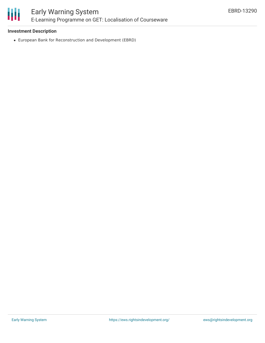

## Early Warning System E-Learning Programme on GET: Localisation of Courseware

#### **Investment Description**

European Bank for Reconstruction and Development (EBRD)